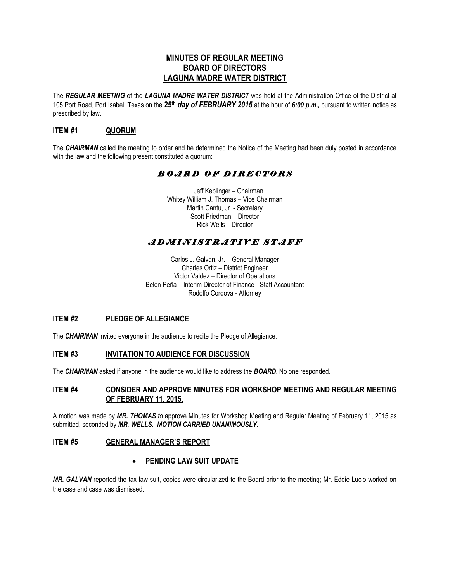## **MINUTES OF REGULAR MEETING BOARD OF DIRECTORS LAGUNA MADRE WATER DISTRICT**

The *REGULAR MEETING* of the *LAGUNA MADRE WATER DISTRICT* was held at the Administration Office of the District at 105 Port Road, Port Isabel, Texas on the **25th** *day of FEBRUARY 2015* at the hour of *6:00 p.m.,* pursuant to written notice as prescribed by law.

## **ITEM #1 QUORUM**

The *CHAIRMAN* called the meeting to order and he determined the Notice of the Meeting had been duly posted in accordance with the law and the following present constituted a quorum:

# *B O A R D O F D I R E C T O R S*

 Jeff Keplinger – Chairman Whitey William J. Thomas – Vice Chairman Martin Cantu, Jr. - Secretary Scott Friedman – Director Rick Wells – Director

# *A D M I N I S T R A T I V E S T A F F*

Carlos J. Galvan, Jr. – General Manager Charles Ortiz – District Engineer Victor Valdez – Director of Operations Belen Peña – Interim Director of Finance - Staff Accountant Rodolfo Cordova - Attorney

## **ITEM #2 PLEDGE OF ALLEGIANCE**

The *CHAIRMAN* invited everyone in the audience to recite the Pledge of Allegiance.

## **ITEM #3 INVITATION TO AUDIENCE FOR DISCUSSION**

The *CHAIRMAN* asked if anyone in the audience would like to address the *BOARD*. No one responded.

## **ITEM #4 CONSIDER AND APPROVE MINUTES FOR WORKSHOP MEETING AND REGULAR MEETING OF FEBRUARY 11, 2015.**

A motion was made by *MR. THOMAS to* approve Minutes for Workshop Meeting and Regular Meeting of February 11, 2015 as submitted, seconded by *MR. WELLS. MOTION CARRIED UNANIMOUSLY.* 

## **ITEM #5 GENERAL MANAGER'S REPORT**

## **PENDING LAW SUIT UPDATE**

*MR. GALVAN* reported the tax law suit, copies were circularized to the Board prior to the meeting; Mr. Eddie Lucio worked on the case and case was dismissed.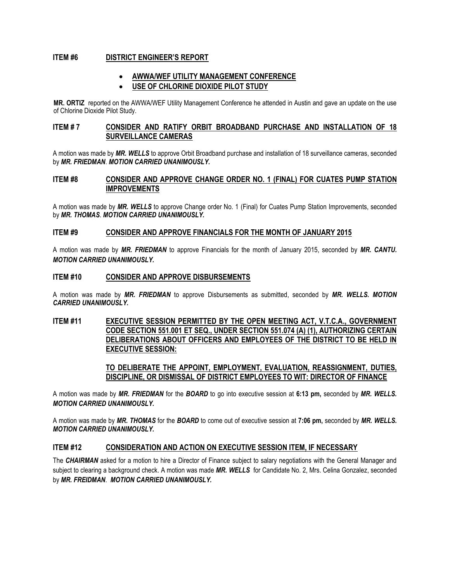## **ITEM #6 DISTRICT ENGINEER'S REPORT**

## **AWWA/WEF UTILITY MANAGEMENT CONFERENCE**

## **USE OF CHLORINE DIOXIDE PILOT STUDY**

**MR. ORTIZ** reported on the AWWA/WEF Utility Management Conference he attended in Austin and gave an update on the use of Chlorine Dioxide Pilot Study.

## **ITEM # 7 CONSIDER AND RATIFY ORBIT BROADBAND PURCHASE AND INSTALLATION OF 18 SURVEILLANCE CAMERAS**

A motion was made by *MR. WELLS* to approve Orbit Broadband purchase and installation of 18 surveillance cameras, seconded by *MR. FRIEDMAN*. *MOTION CARRIED UNANIMOUSLY.*

## **ITEM #8 CONSIDER AND APPROVE CHANGE ORDER NO. 1 (FINAL) FOR CUATES PUMP STATION IMPROVEMENTS**

A motion was made by *MR. WELLS* to approve Change order No. 1 (Final) for Cuates Pump Station Improvements, seconded by *MR. THOMAS*. *MOTION CARRIED UNANIMOUSLY.*

#### **ITEM #9 CONSIDER AND APPROVE FINANCIALS FOR THE MONTH OF JANUARY 2015**

A motion was made by *MR. FRIEDMAN* to approve Financials for the month of January 2015, seconded by *MR. CANTU. MOTION CARRIED UNANIMOUSLY.*

#### **ITEM #10 CONSIDER AND APPROVE DISBURSEMENTS**

A motion was made by *MR. FRIEDMAN* to approve Disbursements as submitted, seconded by *MR. WELLS. MOTION CARRIED UNANIMOUSLY.*

## **ITEM #11 EXECUTIVE SESSION PERMITTED BY THE OPEN MEETING ACT, V.T.C.A., GOVERNMENT CODE SECTION 551.001 ET SEQ., UNDER SECTION 551.074 (A) (1), AUTHORIZING CERTAIN DELIBERATIONS ABOUT OFFICERS AND EMPLOYEES OF THE DISTRICT TO BE HELD IN EXECUTIVE SESSION:**

**TO DELIBERATE THE APPOINT, EMPLOYMENT, EVALUATION, REASSIGNMENT, DUTIES, DISCIPLINE, OR DISMISSAL OF DISTRICT EMPLOYEES TO WIT: DIRECTOR OF FINANCE**

A motion was made by *MR. FRIEDMAN* for the *BOARD* to go into executive session at **6:13 pm,** seconded by *MR. WELLS. MOTION CARRIED UNANIMOUSLY.* 

A motion was made by *MR. THOMAS* for the *BOARD* to come out of executive session at **7:06 pm,** seconded by *MR. WELLS. MOTION CARRIED UNANIMOUSLY.* 

## **ITEM #12 CONSIDERATION AND ACTION ON EXECUTIVE SESSION ITEM, IF NECESSARY**

The *CHAIRMAN* asked for a motion to hire a Director of Finance subject to salary negotiations with the General Manager and subject to clearing a background check. A motion was made *MR. WELLS* for Candidate No. 2, Mrs. Celina Gonzalez, seconded by *MR. FREIDMAN*. *MOTION CARRIED UNANIMOUSLY.*